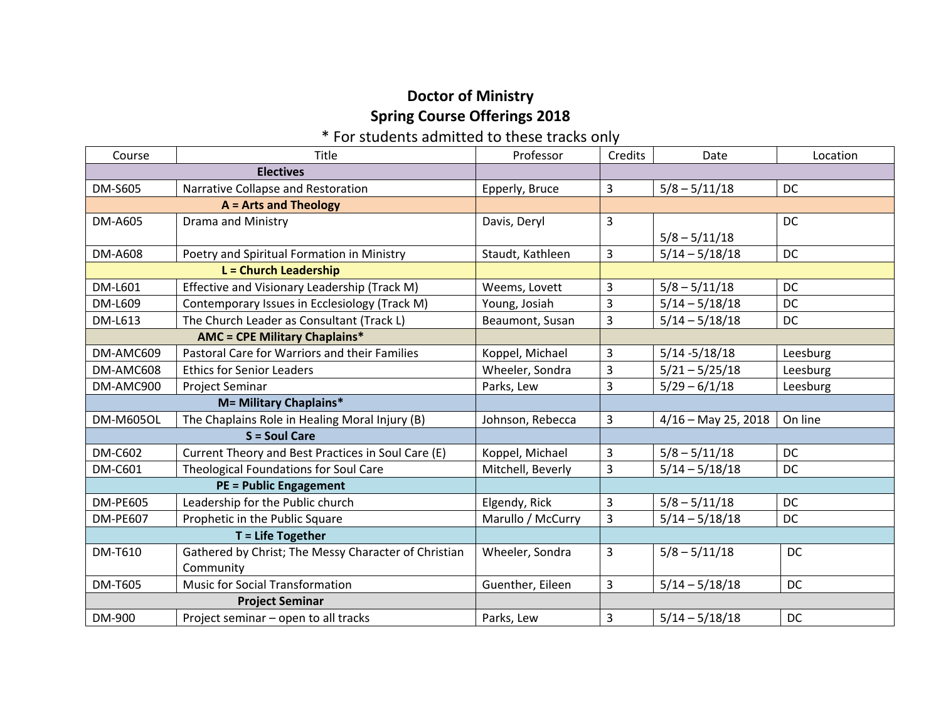## **Doctor of Ministry Spring Course Offerings 2018**

## \* For students admitted to these tracks only

| Course                               | Title                                                | Professor         | Credits | Date                  | Location  |
|--------------------------------------|------------------------------------------------------|-------------------|---------|-----------------------|-----------|
| <b>Electives</b>                     |                                                      |                   |         |                       |           |
| <b>DM-S605</b>                       | Narrative Collapse and Restoration                   | Epperly, Bruce    | 3       | $5/8 - 5/11/18$       | <b>DC</b> |
| $A = Arts$ and Theology              |                                                      |                   |         |                       |           |
| <b>DM-A605</b>                       | Drama and Ministry                                   | Davis, Deryl      | 3       |                       | <b>DC</b> |
|                                      |                                                      |                   |         | $5/8 - 5/11/18$       |           |
| <b>DM-A608</b>                       | Poetry and Spiritual Formation in Ministry           | Staudt, Kathleen  | 3       | $5/14 - 5/18/18$      | <b>DC</b> |
| L = Church Leadership                |                                                      |                   |         |                       |           |
| DM-L601                              | Effective and Visionary Leadership (Track M)         | Weems, Lovett     | 3       | $5/8 - 5/11/18$       | <b>DC</b> |
| DM-L609                              | Contemporary Issues in Ecclesiology (Track M)        | Young, Josiah     | 3       | $5/14 - 5/18/18$      | DC        |
| DM-L613                              | The Church Leader as Consultant (Track L)            | Beaumont, Susan   | 3       | $5/14 - 5/18/18$      | DC        |
| <b>AMC = CPE Military Chaplains*</b> |                                                      |                   |         |                       |           |
| DM-AMC609                            | Pastoral Care for Warriors and their Families        | Koppel, Michael   | 3       | $5/14 - 5/18/18$      | Leesburg  |
| DM-AMC608                            | <b>Ethics for Senior Leaders</b>                     | Wheeler, Sondra   | 3       | $5/21 - 5/25/18$      | Leesburg  |
| DM-AMC900                            | <b>Project Seminar</b>                               | Parks, Lew        | 3       | $5/29 - 6/1/18$       | Leesburg  |
| <b>M= Military Chaplains*</b>        |                                                      |                   |         |                       |           |
| <b>DM-M605OL</b>                     | The Chaplains Role in Healing Moral Injury (B)       | Johnson, Rebecca  | 3       | $4/16$ – May 25, 2018 | On line   |
| $S =$ Soul Care                      |                                                      |                   |         |                       |           |
| <b>DM-C602</b>                       | Current Theory and Best Practices in Soul Care (E)   | Koppel, Michael   | 3       | $5/8 - 5/11/18$       | DC        |
| <b>DM-C601</b>                       | Theological Foundations for Soul Care                | Mitchell, Beverly | 3       | $5/14 - 5/18/18$      | DC        |
| <b>PE = Public Engagement</b>        |                                                      |                   |         |                       |           |
| <b>DM-PE605</b>                      | Leadership for the Public church                     | Elgendy, Rick     | 3       | $5/8 - 5/11/18$       | DC        |
| <b>DM-PE607</b>                      | Prophetic in the Public Square                       | Marullo / McCurry | 3       | $5/14 - 5/18/18$      | <b>DC</b> |
| $T =$ Life Together                  |                                                      |                   |         |                       |           |
| DM-T610                              | Gathered by Christ; The Messy Character of Christian | Wheeler, Sondra   | 3       | $5/8 - 5/11/18$       | DC        |
|                                      | Community                                            |                   |         |                       |           |
| <b>DM-T605</b>                       | <b>Music for Social Transformation</b>               | Guenther, Eileen  | 3       | $5/14 - 5/18/18$      | DC        |
| <b>Project Seminar</b>               |                                                      |                   |         |                       |           |
| DM-900                               | Project seminar - open to all tracks                 | Parks, Lew        | 3       | $5/14 - 5/18/18$      | DC        |